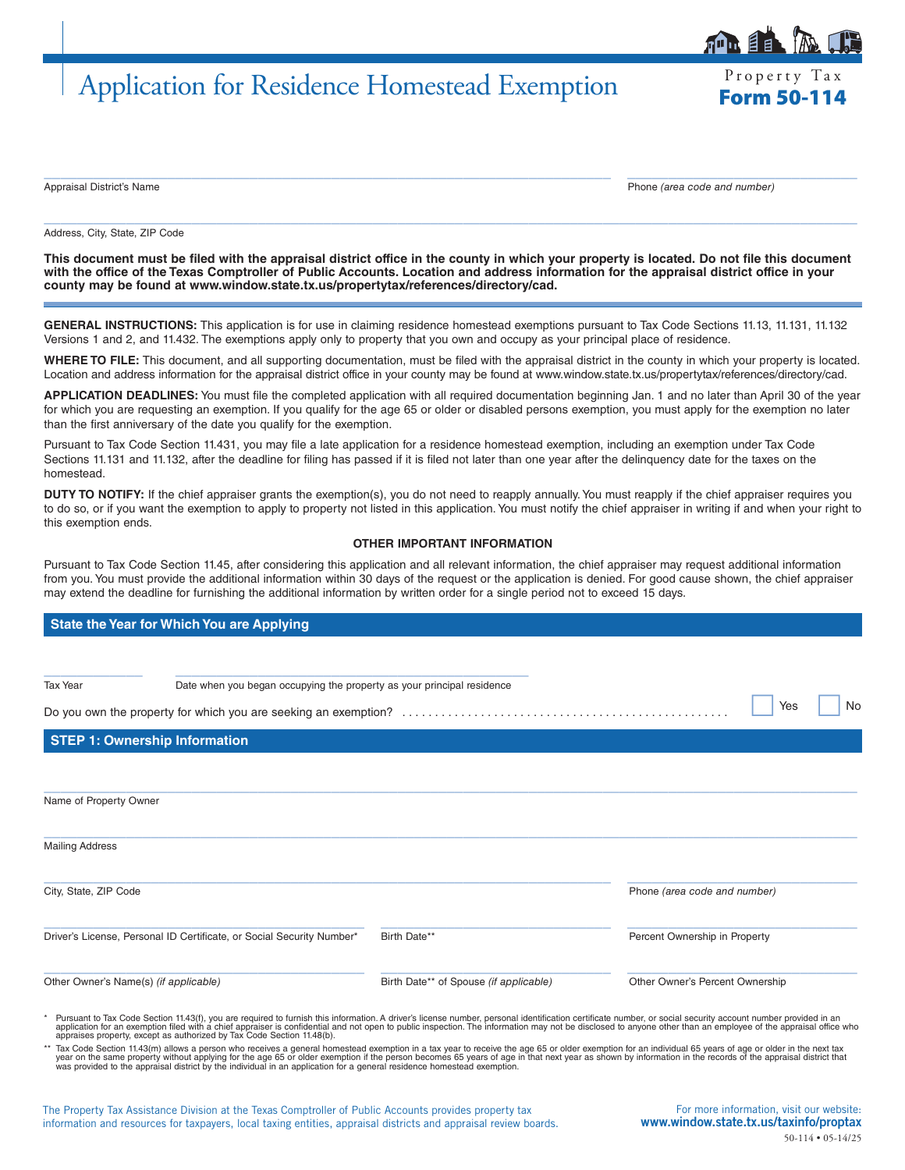# Application for Residence Homestead Exemption Form 50-114

Property Tax

自目

 $\_$  , and the set of the set of the set of the set of the set of the set of the set of the set of the set of the set of the set of the set of the set of the set of the set of the set of the set of the set of the set of th Appraisal District's Name Phone *(area code and number)*

Address, City, State, ZIP Code

**This document must be filed with the appraisal district office in the county in which your property is located. Do not file this document with the office of the Texas Comptroller of Public Accounts. Location and address information for the appraisal district office in your county may be found at www.window.state.tx.us/propertytax/references/directory/cad.**

 $\_$  , and the set of the set of the set of the set of the set of the set of the set of the set of the set of the set of the set of the set of the set of the set of the set of the set of the set of the set of the set of th

**GENERAL INSTRUCTIONS:** This application is for use in claiming residence homestead exemptions pursuant to Tax Code Sections 11.13, 11.131, 11.132 Versions 1 and 2, and 11.432. The exemptions apply only to property that you own and occupy as your principal place of residence.

**WHERE TO FILE:** This document, and all supporting documentation, must be filed with the appraisal district in the county in which your property is located. Location and address information for the appraisal district office in your county may be found at www.window.state.tx.us/propertytax/references/directory/cad.

**APPLICATION DEADLINES:** You must file the completed application with all required documentation beginning Jan. 1 and no later than April 30 of the year for which you are requesting an exemption. If you qualify for the age 65 or older or disabled persons exemption, you must apply for the exemption no later than the first anniversary of the date you qualify for the exemption.

Pursuant to Tax Code Section 11.431, you may file a late application for a residence homestead exemption, including an exemption under Tax Code Sections 11.131 and 11.132, after the deadline for filing has passed if it is filed not later than one year after the delinquency date for the taxes on the homestead.

**DUTY TO NOTIFY:** If the chief appraiser grants the exemption(s), you do not need to reapply annually. You must reapply if the chief appraiser requires you to do so, or if you want the exemption to apply to property not listed in this application. You must notify the chief appraiser in writing if and when your right to this exemption ends.

## **OTHER IMPORTANT INFORMATION**

Pursuant to Tax Code Section 11.45, after considering this application and all relevant information, the chief appraiser may request additional information from you. You must provide the additional information within 30 days of the request or the application is denied. For good cause shown, the chief appraiser may extend the deadline for furnishing the additional information by written order for a single period not to exceed 15 days.

## **State the Year for Which You are Applying**

| Tax Year<br>Date when you began occupying the property as your principal residence                                                                                                                        |                                        |                                 |  |
|-----------------------------------------------------------------------------------------------------------------------------------------------------------------------------------------------------------|----------------------------------------|---------------------------------|--|
|                                                                                                                                                                                                           |                                        | No<br>Yes                       |  |
| <b>STEP 1: Ownership Information</b>                                                                                                                                                                      |                                        |                                 |  |
| Name of Property Owner                                                                                                                                                                                    |                                        |                                 |  |
| <b>Mailing Address</b>                                                                                                                                                                                    |                                        |                                 |  |
| City, State, ZIP Code                                                                                                                                                                                     |                                        | Phone (area code and number)    |  |
| Driver's License, Personal ID Certificate, or Social Security Number*                                                                                                                                     | Birth Date**                           | Percent Ownership in Property   |  |
| Other Owner's Name(s) (if applicable)                                                                                                                                                                     | Birth Date** of Spouse (if applicable) | Other Owner's Percent Ownership |  |
| * Burguant to Tay Cada Raction 11.496 you are required to furnish this information. A driver's ligence number personal identification oestificate number as social coquity accurate number provided in an |                                        |                                 |  |

Pursuant to Tax Code Section 11.43(f), you are required to furnish this information. A driver's license number, personal identification certificate number, or social security account number provided in an \*\*\*\*\*\*\*\*\*\*\*\*\*\*\*\*\* appraises property, except as authorized by Tax Code Section 11.48(b).

\*\* Tax Code Section 11.43(m) allows a person who receives a general homestead exemption in a tax year to receive the age 65 or older exemption for an individual 65 years of age or older in the next tax<br>year on the same pro

The Property Tax Assistance Division at the Texas Comptroller of Public Accounts provides property tax information and resources for taxpayers, local taxing entities, appraisal districts and appraisal review boards.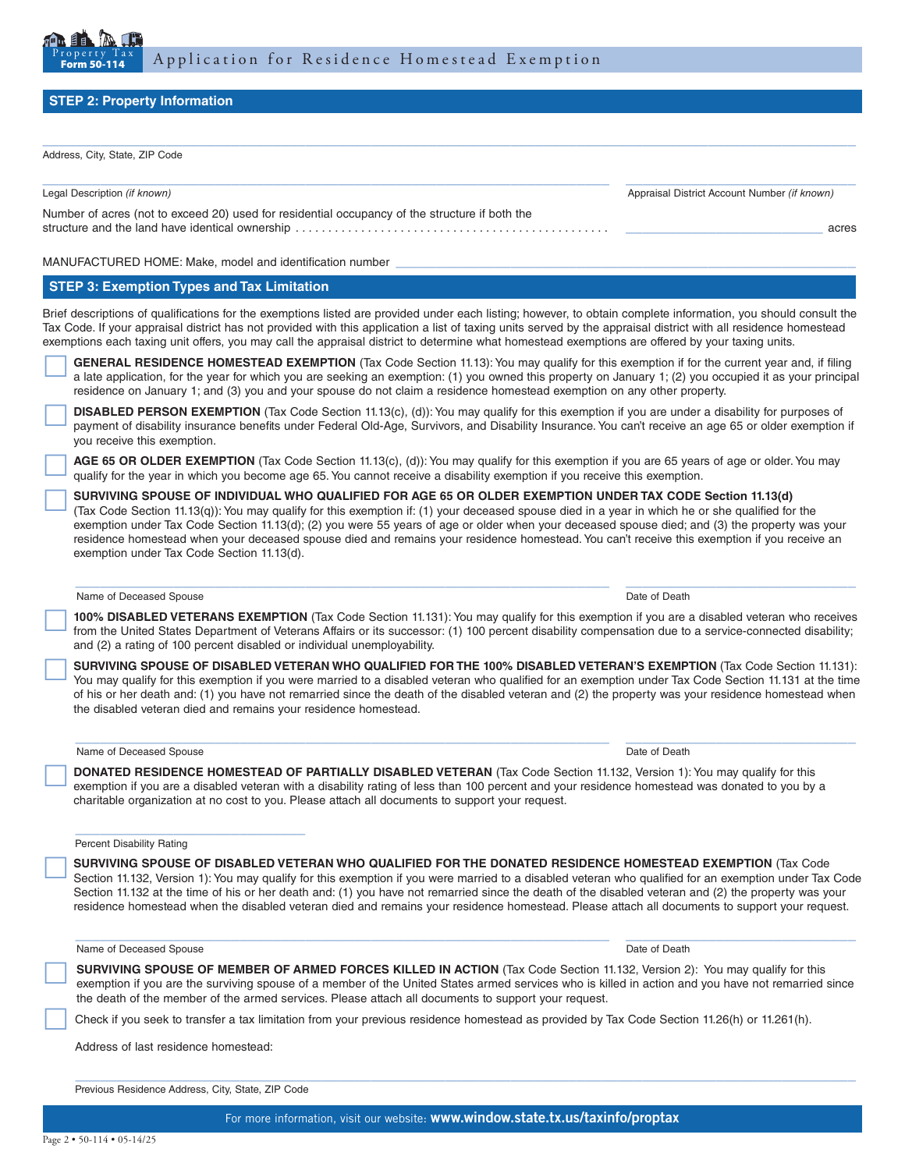

## **STEP 2: Property Information**

Address, City, State, ZIP Code

| $r$ and $\cos$ , $\cos$ , $\cos$ , $\sin$ $\cos$                                               |                                              |       |
|------------------------------------------------------------------------------------------------|----------------------------------------------|-------|
| Legal Description (if known)                                                                   | Appraisal District Account Number (if known) |       |
| Number of acres (not to exceed 20) used for residential occupancy of the structure if both the |                                              | acres |
|                                                                                                |                                              |       |

 $\_$  , and the set of the set of the set of the set of the set of the set of the set of the set of the set of the set of the set of the set of the set of the set of the set of the set of the set of the set of the set of th

MANUFACTURED HOME: Make, model and identification number

#### **STEP 3: Exemption Types and Tax Limitation**

Brief descriptions of qualifications for the exemptions listed are provided under each listing; however, to obtain complete information, you should consult the Tax Code. If your appraisal district has not provided with this application a list of taxing units served by the appraisal district with all residence homestead exemptions each taxing unit offers, you may call the appraisal district to determine what homestead exemptions are offered by your taxing units.

 **GENERAL RESIDENCE HOMESTEAD EXEMPTION** (Tax Code Section 11.13): You may qualify for this exemption if for the current year and, if filing a late application, for the year for which you are seeking an exemption: (1) you owned this property on January 1; (2) you occupied it as your principal residence on January 1; and (3) you and your spouse do not claim a residence homestead exemption on any other property.

 **DISABLED PERSON EXEMPTION** (Tax Code Section 11.13(c), (d)): You may qualify for this exemption if you are under a disability for purposes of payment of disability insurance benefits under Federal Old-Age, Survivors, and Disability Insurance. You can't receive an age 65 or older exemption if you receive this exemption.

 **AGE 65 OR OLDER EXEMPTION** (Tax Code Section 11.13(c), (d)): You may qualify for this exemption if you are 65 years of age or older. You may qualify for the year in which you become age 65. You cannot receive a disability exemption if you receive this exemption.

 **SURVIVING SPOUSE OF INDIVIDUAL WHO QUALIFIED FOR AGE 65 OR OLDER EXEMPTION UNDER TAX CODE Section 11.13(d)** (Tax Code Section 11.13(q)): You may qualify for this exemption if: (1) your deceased spouse died in a year in which he or she qualified for the exemption under Tax Code Section 11.13(d); (2) you were 55 years of age or older when your deceased spouse died; and (3) the property was your residence homestead when your deceased spouse died and remains your residence homestead. You can't receive this exemption if you receive an exemption under Tax Code Section 11.13(d).

#### Name of Deceased Spouse Date of Death Control of Death Control of Death Control of Death Date of Death Control of Death Control of Death Control of Death Control of Death Control of Death Control of Death Control of Death

 **100% DISABLED VETERANS EXEMPTION** (Tax Code Section 11.131): You may qualify for this exemption if you are a disabled veteran who receives from the United States Department of Veterans Affairs or its successor: (1) 100 percent disability compensation due to a service-connected disability; and (2) a rating of 100 percent disabled or individual unemployability.

 $\_$  ,  $\_$  ,  $\_$  ,  $\_$  ,  $\_$  ,  $\_$  ,  $\_$  ,  $\_$  ,  $\_$  ,  $\_$  ,  $\_$  ,  $\_$  ,  $\_$  ,  $\_$  ,  $\_$  ,  $\_$  ,  $\_$  ,  $\_$  ,  $\_$  ,  $\_$  ,  $\_$  ,  $\_$  ,  $\_$  ,  $\_$  ,  $\_$  ,  $\_$  ,  $\_$  ,  $\_$  ,  $\_$  ,  $\_$  ,  $\_$  ,  $\_$  ,  $\_$  ,  $\_$  ,  $\_$  ,  $\_$  ,  $\_$  ,

SURVIVING SPOUSE OF DISABLED VETERAN WHO QUALIFIED FOR THE 100% DISABLED VETERAN'S EXEMPTION (Tax Code Section 11.131):<br>You may qualify for this exemption if you were married to a disabled veteran who qualified for an exem of his or her death and: (1) you have not remarried since the death of the disabled veteran and (2) the property was your residence homestead when the disabled veteran died and remains your residence homestead.

 $\mathcal{L}_\mathcal{L} = \{ \mathcal{L}_\mathcal{L} = \{ \mathcal{L}_\mathcal{L} = \{ \mathcal{L}_\mathcal{L} = \{ \mathcal{L}_\mathcal{L} = \{ \mathcal{L}_\mathcal{L} = \{ \mathcal{L}_\mathcal{L} = \{ \mathcal{L}_\mathcal{L} = \{ \mathcal{L}_\mathcal{L} = \{ \mathcal{L}_\mathcal{L} = \{ \mathcal{L}_\mathcal{L} = \{ \mathcal{L}_\mathcal{L} = \{ \mathcal{L}_\mathcal{L} = \{ \mathcal{L}_\mathcal{L} = \{ \mathcal{L}_\mathcal{$ 

#### Name of Deceased Spouse Date of Death Name of Deceased Spouse Date of Death Name of Death Date of Death Name of Death Date of Death Name of Death Name of Death Name of Death Name of Death Name of Death Name of Death Name o

**DONATED RESIDENCE HOMESTEAD OF PARTIALLY DISABLED VETERAN** (Tax Code Section 11.132, Version 1): You may qualify for this exemption if you are a disabled veteran with a disability rating of less than 100 percent and your charitable organization at no cost to you. Please attach all documents to support your request.

#### Percent Disability Rating

SURVIVING SPOUSE OF DISABLED VETERAN WHO QUALIFIED FOR THE DONATED RESIDENCE HOMESTEAD EXEMPTION (Tax Code<br>Section 11.132, Version 1): You may qualify for this exemption if you were married to a disabled veteran who qualif Section 11.132 at the time of his or her death and: (1) you have not remarried since the death of the disabled veteran and (2) the property was your residence homestead when the disabled veteran died and remains your residence homestead. Please attach all documents to support your request.

 $\mathcal{L}_\mathcal{L} = \{ \mathcal{L}_\mathcal{L} = \{ \mathcal{L}_\mathcal{L} = \{ \mathcal{L}_\mathcal{L} = \{ \mathcal{L}_\mathcal{L} = \{ \mathcal{L}_\mathcal{L} = \{ \mathcal{L}_\mathcal{L} = \{ \mathcal{L}_\mathcal{L} = \{ \mathcal{L}_\mathcal{L} = \{ \mathcal{L}_\mathcal{L} = \{ \mathcal{L}_\mathcal{L} = \{ \mathcal{L}_\mathcal{L} = \{ \mathcal{L}_\mathcal{L} = \{ \mathcal{L}_\mathcal{L} = \{ \mathcal{L}_\mathcal{$ 

Name of Deceased Spouse Date of Death Case of Death Case of Death Case of Death Case of Death Case of Death Case of Death Case of Death Case of Death Case of Death Case of Death Case of Death Case of Death Case of Death Ca

SURVIVING SPOUSE OF MEMBER OF ARMED FORCES KILLED IN ACTION (Tax Code Section 11.132, Version 2): You may qualify for this exemption if you are the surviving spouse of a member of the United States armed services who is ki the death of the member of the armed services. Please attach all documents to support your request.

 $\mathcal{L}_\mathcal{L} = \{ \mathcal{L}_\mathcal{L} = \{ \mathcal{L}_\mathcal{L} = \{ \mathcal{L}_\mathcal{L} = \{ \mathcal{L}_\mathcal{L} = \{ \mathcal{L}_\mathcal{L} = \{ \mathcal{L}_\mathcal{L} = \{ \mathcal{L}_\mathcal{L} = \{ \mathcal{L}_\mathcal{L} = \{ \mathcal{L}_\mathcal{L} = \{ \mathcal{L}_\mathcal{L} = \{ \mathcal{L}_\mathcal{L} = \{ \mathcal{L}_\mathcal{L} = \{ \mathcal{L}_\mathcal{L} = \{ \mathcal{L}_\mathcal{$ 

Check if you seek to transfer a tax limitation from your previous residence homestead as provided by Tax Code Section 11.26(h) or 11.261(h).

Address of last residence homestead:

Previous Residence Address, City, State, ZIP Code

\_\_\_\_\_\_\_\_\_\_\_\_\_\_\_\_\_\_\_\_\_\_\_\_\_\_\_\_

For more information, visit our website: www.window.state.tx.us/taxinfo/proptax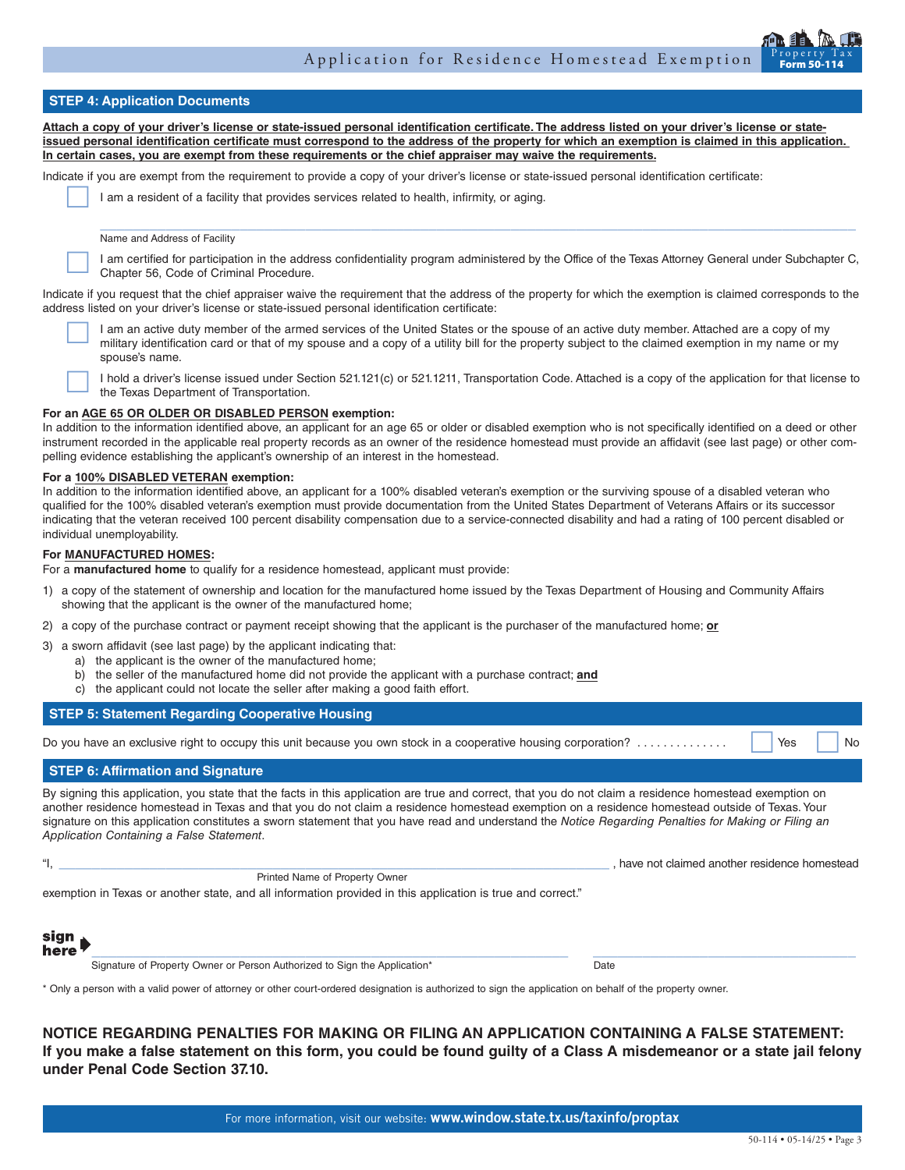## **STEP 4: Application Documents**

**Attach a copy of your driver's license or state-issued personal identification certificate. The address listed on your driver's license or stateissued personal identification certificate must correspond to the address of the property for which an exemption is claimed in this application. In certain cases, you are exempt from these requirements or the chief appraiser may waive the requirements.**

Indicate if you are exempt from the requirement to provide a copy of your driver's license or state-issued personal identification certificate:

I am a resident of a facility that provides services related to health, infirmity, or aging.

Name and Address of Facility

 I am certified for participation in the address confidentiality program administered by the Office of the Texas Attorney General under Subchapter C, Chapter 56, Code of Criminal Procedure.

 $\_$  ,  $\_$  ,  $\_$  ,  $\_$  ,  $\_$  ,  $\_$  ,  $\_$  ,  $\_$  ,  $\_$  ,  $\_$  ,  $\_$  ,  $\_$  ,  $\_$  ,  $\_$  ,  $\_$  ,  $\_$  ,  $\_$  ,  $\_$  ,  $\_$  ,  $\_$  ,  $\_$  ,  $\_$  ,  $\_$  ,  $\_$  ,  $\_$  ,  $\_$  ,  $\_$  ,  $\_$  ,  $\_$  ,  $\_$  ,  $\_$  ,  $\_$  ,  $\_$  ,  $\_$  ,  $\_$  ,  $\_$  ,  $\_$  ,

Indicate if you request that the chief appraiser waive the requirement that the address of the property for which the exemption is claimed corresponds to the address listed on your driver's license or state-issued personal identification certificate:

I am an active duty member of the armed services of the United States or the spouse of an active duty member. Attached are a copy of my military identification card or that of my spouse and a copy of a utility bill for the spouse's name.

 I hold a driver's license issued under Section 521.121(c) or 521.1211, Transportation Code. Attached is a copy of the application for that license to the Texas Department of Transportation.

#### **For an AGE 65 OR OLDER OR DISABLED PERSON exemption:**

In addition to the information identified above, an applicant for an age 65 or older or disabled exemption who is not specifically identified on a deed or other instrument recorded in the applicable real property records as an owner of the residence homestead must provide an affidavit (see last page) or other compelling evidence establishing the applicant's ownership of an interest in the homestead.

#### **For a 100% DISABLED VETERAN exemption:**

In addition to the information identified above, an applicant for a 100% disabled veteran's exemption or the surviving spouse of a disabled veteran who qualified for the 100% disabled veteran's exemption must provide documentation from the United States Department of Veterans Affairs or its successor indicating that the veteran received 100 percent disability compensation due to a service-connected disability and had a rating of 100 percent disabled or individual unemployability.

#### **For MANUFACTURED HOMES:**

For a **manufactured home** to qualify for a residence homestead, applicant must provide:

- 1) a copy of the statement of ownership and location for the manufactured home issued by the Texas Department of Housing and Community Affairs showing that the applicant is the owner of the manufactured home;
- 2) a copy of the purchase contract or payment receipt showing that the applicant is the purchaser of the manufactured home; **or**

3) a sworn affidavit (see last page) by the applicant indicating that:

- a) the applicant is the owner of the manufactured home;
- b) the seller of the manufactured home did not provide the applicant with a purchase contract; **and**
- c) the applicant could not locate the seller after making a good faith effort.

#### **STEP 5: Statement Regarding Cooperative Housing**

Do you have an exclusive right to occupy this unit because you own stock in a cooperative housing corporation? . . . . . . . . . . . . . . Yes No

## **STEP 6: Affirmation and Signature**

By signing this application, you state that the facts in this application are true and correct, that you do not claim a residence homestead exemption on another residence homestead in Texas and that you do not claim a residence homestead exemption on a residence homestead outside of Texas. Your signature on this application constitutes a sworn statement that you have read and understand the *Notice Regarding Penalties for Making or Filing an Application Containing a False Statement*.

|  | d another residence homestead<br>have not claimed. |
|--|----------------------------------------------------|
|  |                                                    |

exemption in Texas or another state, and all information provided in this application is true and correct."

Printed Name of Property Owner



Signature of Property Owner or Person Authorized to Sign the Application\* Date

 $\_$  , and the set of the set of the set of the set of the set of the set of the set of the set of the set of the set of the set of the set of the set of the set of the set of the set of the set of the set of the set of th

\* Only a person with a valid power of attorney or other court-ordered designation is authorized to sign the application on behalf of the property owner.

**NOTICE REGARDING PENALTIES FOR MAKING OR FILING AN APPLICATION CONTAINING A FALSE STATEMENT: If you make a false statement on this form, you could be found guilty of a Class A misdemeanor or a state jail felony under Penal Code Section 37.10.**

For more information, visit our website: www.window.state.tx.us/taxinfo/proptax

Form 50-114